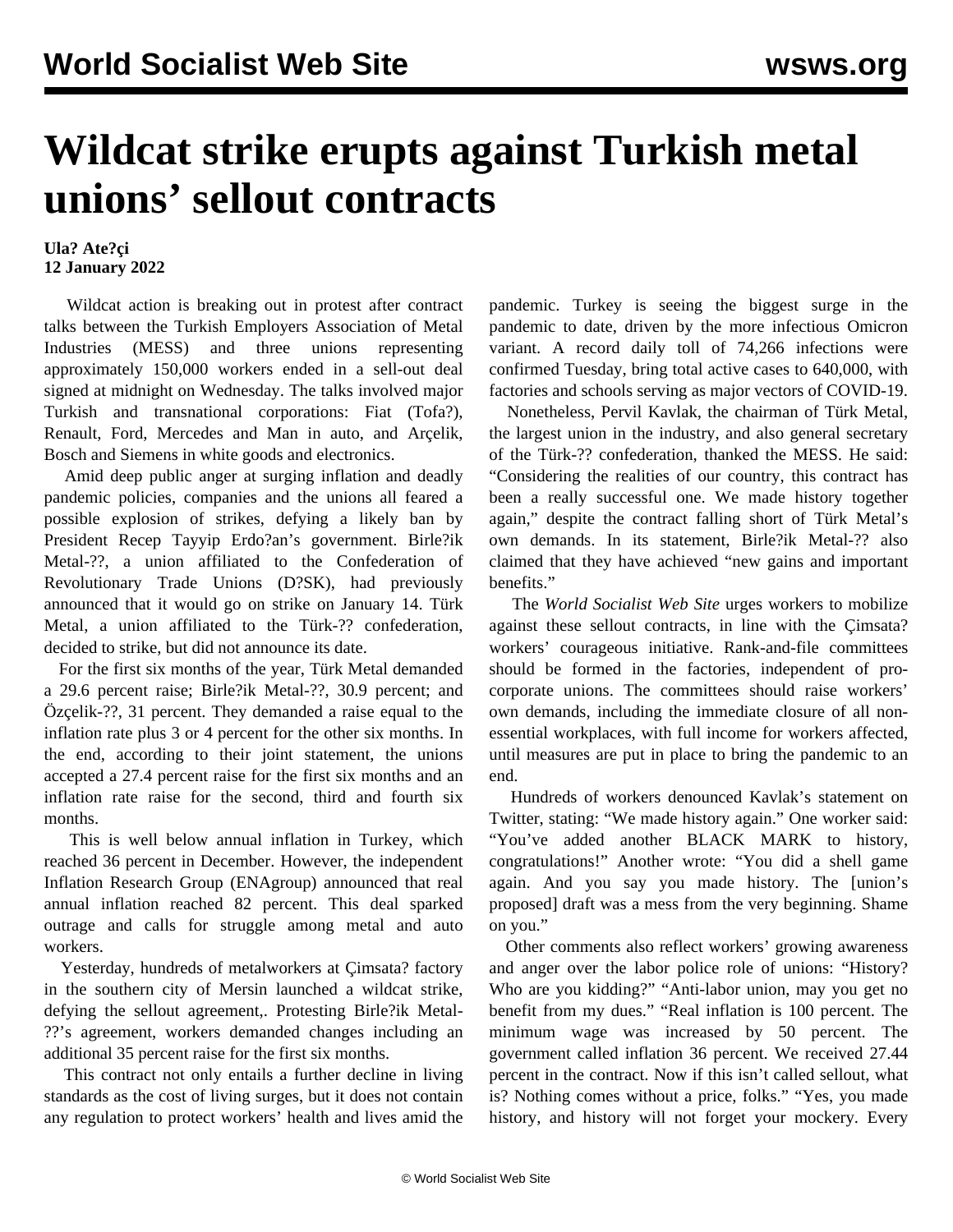## **Wildcat strike erupts against Turkish metal unions' sellout contracts**

## **Ula? Ate?çi 12 January 2022**

 Wildcat action is breaking out in protest after contract talks between the Turkish Employers Association of Metal Industries (MESS) and three unions representing approximately 150,000 workers ended in a sell-out deal signed at midnight on Wednesday. The talks involved major Turkish and transnational corporations: Fiat (Tofa?), Renault, Ford, Mercedes and Man in auto, and Arçelik, Bosch and Siemens in white goods and electronics.

 Amid deep public anger at surging inflation and deadly pandemic policies, companies and the unions all feared a possible explosion of strikes, defying a likely ban by President Recep Tayyip Erdo?an's government. Birle?ik Metal-??, a union affiliated to the Confederation of Revolutionary Trade Unions (D?SK), had previously announced that it would go on strike on January 14. Türk Metal, a union affiliated to the Türk-?? confederation, decided to strike, but did not announce its date.

 For the first six months of the year, Türk Metal demanded a 29.6 percent raise; Birle?ik Metal-??, 30.9 percent; and Özçelik-??, 31 percent. They demanded a raise equal to the inflation rate plus 3 or 4 percent for the other six months. In the end, according to their joint statement, the unions accepted a 27.4 percent raise for the first six months and an inflation rate raise for the second, third and fourth six months.

 This is well below annual inflation in Turkey, which reached 36 percent in December. However, the independent Inflation Research Group (ENAgroup) announced that real annual inflation reached 82 percent. This deal sparked outrage and calls for struggle among metal and auto workers.

 Yesterday, hundreds of metalworkers at Çimsata? factory in the southern city of Mersin launched a wildcat strike, defying the sellout agreement,. Protesting Birle?ik Metal- ??'s agreement, workers demanded changes including an additional 35 percent raise for the first six months.

 This contract not only entails a further decline in living standards as the cost of living surges, but it does not contain any regulation to protect workers' health and lives amid the pandemic. Turkey is seeing the biggest surge in the pandemic to date, driven by the more infectious Omicron variant. A record daily toll of 74,266 infections were confirmed Tuesday, bring total active cases to 640,000, with factories and schools serving as major vectors of COVID-19.

 Nonetheless, Pervil Kavlak, the chairman of Türk Metal, the largest union in the industry, and also general secretary of the Türk-?? confederation, thanked the MESS. He said: "Considering the realities of our country, this contract has been a really successful one. We made history together again," despite the contract falling short of Türk Metal's own demands. In its statement, Birle?ik Metal-?? also claimed that they have achieved "new gains and important benefits."

 The *World Socialist Web Site* urges workers to mobilize against these sellout contracts, in line with the Çimsata? workers' courageous initiative. Rank-and-file committees should be formed in the factories, independent of procorporate unions. The committees should raise workers' own demands, including the immediate closure of all nonessential workplaces, with full income for workers affected, until measures are put in place to bring the pandemic to an end.

 Hundreds of workers denounced Kavlak's statement on Twitter, stating: "We made history again." One worker said: "You've added another BLACK MARK to history, congratulations!" Another wrote: "You did a shell game again. And you say you made history. The [union's proposed] draft was a mess from the very beginning. Shame on you."

 Other comments also reflect workers' growing awareness and anger over the labor police role of unions: "History? Who are you kidding?" "Anti-labor union, may you get no benefit from my dues." "Real inflation is 100 percent. The minimum wage was increased by 50 percent. The government called inflation 36 percent. We received 27.44 percent in the contract. Now if this isn't called sellout, what is? Nothing comes without a price, folks." "Yes, you made history, and history will not forget your mockery. Every